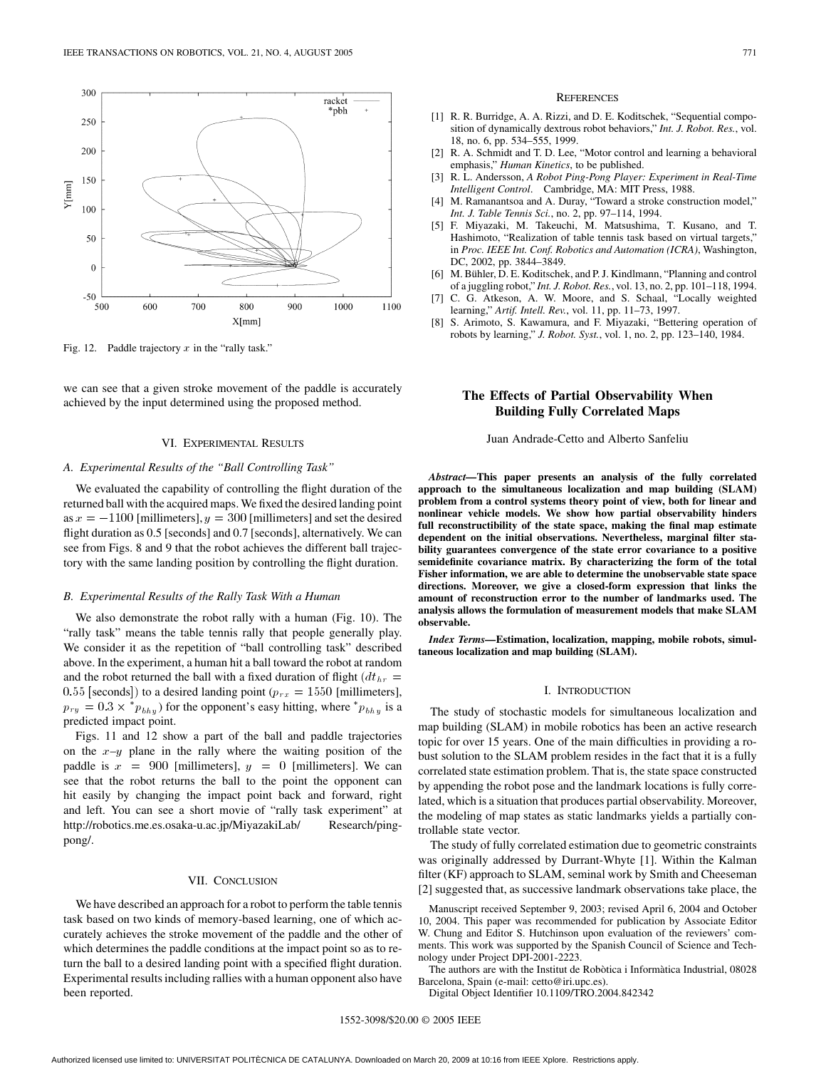

Fig. 12. Paddle trajectory  $x$  in the "rally task."

we can see that a given stroke movement of the paddle is accurately achieved by the input determined using the proposed method.

#### VI. EXPERIMENTAL RESULTS

# *A. Experimental Results of the "Ball Controlling Task"*

We evaluated the capability of controlling the flight duration of the returned ball with the acquired maps. We fixed the desired landing point A. *Experimental Results of the "Ball Controlling Task"*<br>We evaluated the capability of controlling the flight duration of the<br>returned ball with the acquired maps. We fixed the desired landing point<br>as  $x = -1100$  [millime flight duration as 0.5 [seconds] and 0.7 [seconds], alternatively. We can see from Figs. 8 and 9 that the robot achieves the different ball trajectory with the same landing position by controlling the flight duration.

# *B. Experimental Results of the Rally Task With a Human*

We also demonstrate the robot rally with a human (Fig. 10). The "rally task" means the table tennis rally that people generally play. We consider it as the repetition of "ball controlling task" described above. In the experiment, a human hit a ball toward the robot at random and the robot returned the ball with a fixed duration of flight ( $dt_{hr}$  = 0.55 [seconds]) to a desired landing point ( $p_{rx} = 1550$  [millimeters],  $p_{ry} = 0.3 \times {}^{*}p_{bhy}$ ) for the opponent's easy hitting, where  ${}^{*}p_{bhy}$  is a predicted impact point.

Figs. 11 and 12 show a part of the ball and paddle trajectories on the  $x-y$  plane in the rally where the waiting position of the paddle is  $x = 900$  [millimeters],  $y = 0$  [millimeters]. We can see that the robot returns the ball to the point the opponent can hit easily by changing the impact point back and forward, right and left. You can see a short movie of "rally task experiment" at http://robotics.me.es.osaka-u.ac.jp/MiyazakiLab/ Research/pingpong/.

#### VII. CONCLUSION

We have described an approach for a robot to perform the table tennis task based on two kinds of memory-based learning, one of which accurately achieves the stroke movement of the paddle and the other of which determines the paddle conditions at the impact point so as to return the ball to a desired landing point with a specified flight duration. Experimental results including rallies with a human opponent also have been reported.

#### **REFERENCES**

- [1] R. R. Burridge, A. A. Rizzi, and D. E. Koditschek, "Sequential composition of dynamically dextrous robot behaviors," *Int. J. Robot. Res.*, vol. 18, no. 6, pp. 534–555, 1999.
- [2] R. A. Schmidt and T. D. Lee, "Motor control and learning a behavioral emphasis," *Human Kinetics*, to be published.
- [3] R. L. Andersson, *A Robot Ping-Pong Player: Experiment in Real-Time Intelligent Control*. Cambridge, MA: MIT Press, 1988.
- [4] M. Ramanantsoa and A. Duray, "Toward a stroke construction model," *Int. J. Table Tennis Sci.*, no. 2, pp. 97–114, 1994.
- [5] F. Miyazaki, M. Takeuchi, M. Matsushima, T. Kusano, and T. Hashimoto, "Realization of table tennis task based on virtual targets," in *Proc. IEEE Int. Conf. Robotics and Automation (ICRA)*, Washington, DC, 2002, pp. 3844–3849.
- [6] M. Bühler, D. E. Koditschek, and P. J. Kindlmann, "Planning and control of a juggling robot," *Int. J. Robot. Res.*, vol. 13, no. 2, pp. 101–118, 1994.
- C. G. Atkeson, A. W. Moore, and S. Schaal, "Locally weighted learning," *Artif. Intell. Rev.*, vol. 11, pp. 11–73, 1997.
- [8] S. Arimoto, S. Kawamura, and F. Miyazaki, "Bettering operation of robots by learning," *J. Robot. Syst.*, vol. 1, no. 2, pp. 123–140, 1984.

# **The Effects of Partial Observability When Building Fully Correlated Maps**

#### Juan Andrade-Cetto and Alberto Sanfeliu

*Abstract—***This paper presents an analysis of the fully correlated approach to the simultaneous localization and map building (SLAM) problem from a control systems theory point of view, both for linear and nonlinear vehicle models. We show how partial observability hinders full reconstructibility of the state space, making the final map estimate dependent on the initial observations. Nevertheless, marginal filter stability guarantees convergence of the state error covariance to a positive semidefinite covariance matrix. By characterizing the form of the total Fisher information, we are able to determine the unobservable state space directions. Moreover, we give a closed-form expression that links the amount of reconstruction error to the number of landmarks used. The analysis allows the formulation of measurement models that make SLAM observable.**

*Index Terms—***Estimation, localization, mapping, mobile robots, simultaneous localization and map building (SLAM).**

### I. INTRODUCTION

The study of stochastic models for simultaneous localization and map building (SLAM) in mobile robotics has been an active research topic for over 15 years. One of the main difficulties in providing a robust solution to the SLAM problem resides in the fact that it is a fully correlated state estimation problem. That is, the state space constructed by appending the robot pose and the landmark locations is fully correlated, which is a situation that produces partial observability. Moreover, the modeling of map states as static landmarks yields a partially controllable state vector.

The study of fully correlated estimation due to geometric constraints was originally addressed by Durrant-Whyte [1]. Within the Kalman filter (KF) approach to SLAM, seminal work by Smith and Cheeseman [2] suggested that, as successive landmark observations take place, the

Manuscript received September 9, 2003; revised April 6, 2004 and October 10, 2004. This paper was recommended for publication by Associate Editor W. Chung and Editor S. Hutchinson upon evaluation of the reviewers' comments. This work was supported by the Spanish Council of Science and Technology under Project DPI-2001-2223.

The authors are with the Institut de Robòtica i Informàtica Industrial, 08028 Barcelona, Spain (e-mail: cetto@iri.upc.es).

Digital Object Identifier 10.1109/TRO.2004.842342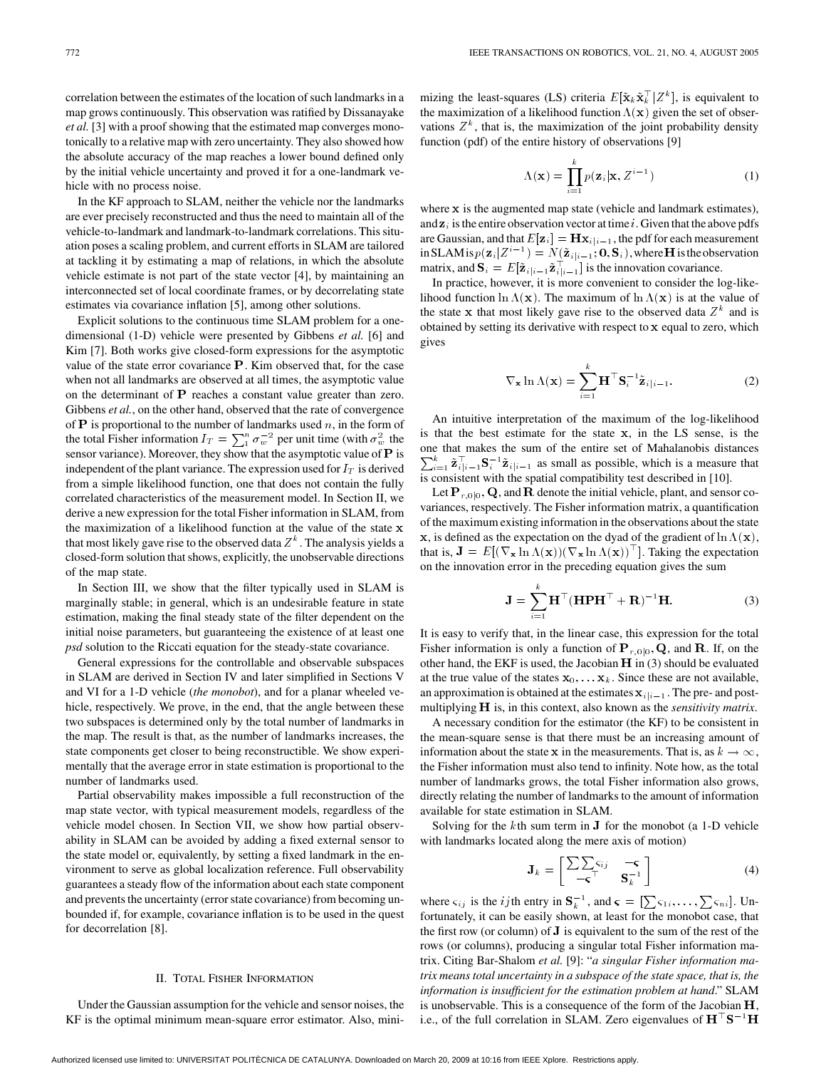correlation between the estimates of the location of such landmarks in a map grows continuously. This observation was ratified by Dissanayake *et al.* [3] with a proof showing that the estimated map converges monotonically to a relative map with zero uncertainty. They also showed how the absolute accuracy of the map reaches a lower bound defined only by the initial vehicle uncertainty and proved it for a one-landmark vehicle with no process noise.

In the KF approach to SLAM, neither the vehicle nor the landmarks are ever precisely reconstructed and thus the need to maintain all of the vehicle-to-landmark and landmark-to-landmark correlations. This situation poses a scaling problem, and current efforts in SLAM are tailored at tackling it by estimating a map of relations, in which the absolute vehicle estimate is not part of the state vector [4], by maintaining an interconnected set of local coordinate frames, or by decorrelating state estimates via covariance inflation [5], among other solutions.

Explicit solutions to the continuous time SLAM problem for a onedimensional (1-D) vehicle were presented by Gibbens *et al.* [6] and Kim [7]. Both works give closed-form expressions for the asymptotic value of the state error covariance  $P$ . Kim observed that, for the case when not all landmarks are observed at all times, the asymptotic value on the determinant of  $P$  reaches a constant value greater than zero. Gibbens *et al.*, on the other hand, observed that the rate of convergence of  $P$  is proportional to the number of landmarks used  $n$ , in the form of Gibbens *et al.*, on the other hand, observed that the rate of convergence<br>of **P** is proportional to the number of landmarks used *n*, in the form of<br>the total Fisher information  $I_T = \sum_{1}^{n} \sigma_w^{-2}$  per unit time (with  $\$ sensor variance). Moreover, they show that the asymptotic value of  $P$  is independent of the plant variance. The expression used for  $I_T$  is derived from a simple likelihood function, one that does not contain the fully correlated characteristics of the measurement model. In Section II, we derive a new expression for the total Fisher information in SLAM, from the maximization of a likelihood function at the value of the state x that most likely gave rise to the observed data  $Z^k$ . The analysis yields a closed-form solution that shows, explicitly, the unobservable directions of the map state.

In Section III, we show that the filter typically used in SLAM is marginally stable; in general, which is an undesirable feature in state estimation, making the final steady state of the filter dependent on the initial noise parameters, but guaranteeing the existence of at least one *psd* solution to the Riccati equation for the steady-state covariance.

General expressions for the controllable and observable subspaces in SLAM are derived in Section IV and later simplified in Sections V and VI for a 1-D vehicle (*the monobot*), and for a planar wheeled vehicle, respectively. We prove, in the end, that the angle between these two subspaces is determined only by the total number of landmarks in the map. The result is that, as the number of landmarks increases, the state components get closer to being reconstructible. We show experimentally that the average error in state estimation is proportional to the number of landmarks used.

Partial observability makes impossible a full reconstruction of the map state vector, with typical measurement models, regardless of the vehicle model chosen. In Section VII, we show how partial observability in SLAM can be avoided by adding a fixed external sensor to the state model or, equivalently, by setting a fixed landmark in the environment to serve as global localization reference. Full observability guarantees a steady flow of the information about each state component and prevents the uncertainty (error state covariance) from becoming unbounded if, for example, covariance inflation is to be used in the quest for decorrelation [8].

## II. TOTAL FISHER INFORMATION

Under the Gaussian assumption for the vehicle and sensor noises, the KF is the optimal minimum mean-square error estimator. Also, mini-

mizing the least-squares (LS) criteria  $E[\tilde{\mathbf{x}}_k \tilde{\mathbf{x}}_k^\top | Z^k]$ , is equivalent to the maximization of a likelihood function  $\Lambda(\mathbf{x})$  given the set of observations  $Z<sup>k</sup>$ , that is, the maximization of the joint probability density function (pdf) of the entire history of observations [9]

$$
\Lambda(\mathbf{x}) = \prod_{i=1}^{k} p(\mathbf{z}_i | \mathbf{x}, Z^{i-1})
$$
 (1)

where x is the augmented map state (vehicle and landmark estimates), and  $z_i$  is the entire observation vector at time i. Given that the above pdfs are Gaussian, and that  $E[\mathbf{z}_i] = \mathbf{H} \mathbf{x}_{i|i-1}$ , the pdf for each measurement in SLAM is  $p(\mathbf{z}_i|Z^{i-1}) = N(\tilde{\mathbf{z}}_{i|i-1}; \mathbf{0}, \mathbf{S}_i)$ , where **H** is the observation matrix, and  $\mathbf{S}_i = E[\tilde{\mathbf{z}}_{i|i-1}\tilde{\mathbf{z}}_{i|i-1}^\top]$  is the innovation covariance.

In practice, however, it is more convenient to consider the log-likelihood function ln  $\Lambda(\mathbf{x})$ . The maximum of ln  $\Lambda(\mathbf{x})$  is at the value of the state x that most likely gave rise to the observed data  $Z^k$  and is obtained by setting its derivative with respect to x equal to zero, which gives

$$
\nabla_{\mathbf{x}} \ln \Lambda(\mathbf{x}) = \sum_{i=1}^{k} \mathbf{H}^{\top} \mathbf{S}_{i}^{-1} \tilde{\mathbf{z}}_{i|i-1}.
$$
 (2)

An intuitive interpretation of the maximum of the log-likelihood is that the best estimate for the state x, in the LS sense, is the one that makes the sum of the entire set of Mahalanobis distances <sup>k</sup>  $i=1 \tilde{z}_{i}^{\top} \tilde{z}_{i|i-1}^{\top} \tilde{z}_{i|i-1}$  as small as possible, which is a measure that is consistent with the spatial compatibility test described in [10].

Let  ${\bf P}_{r,0|0}$ , Q, and R denote the initial vehicle, plant, and sensor covariances, respectively. The Fisher information matrix, a quantification of the maximum existing information in the observations about the state x, is defined as the expectation on the dyad of the gradient of  $\ln \Lambda(x)$ , that is,  $\mathbf{J} = E[(\nabla_{\mathbf{x}} \ln \Lambda(\mathbf{x}))(\nabla_{\mathbf{x}} \ln \Lambda(\mathbf{x}))^{\top}]$ . Taking the expectation on the innovation error in the preceding equation gives the sum

$$
\mathbf{J} = \sum_{i=1}^{k} \mathbf{H}^{\top} (\mathbf{H} \mathbf{P} \mathbf{H}^{\top} + \mathbf{R})^{-1} \mathbf{H}.
$$
 (3)

It is easy to verify that, in the linear case, this expression for the total Fisher information is only a function of  $P_{r,0|0}$ , Q, and R. If, on the other hand, the EKF is used, the Jacobian  $H$  in (3) should be evaluated at the true value of the states  $x_0, \ldots, x_k$ . Since these are not available, an approximation is obtained at the estimates  $x_{i|i-1}$ . The pre- and postmultiplying H is, in this context, also known as the *sensitivity matrix*.

A necessary condition for the estimator (the KF) to be consistent in the mean-square sense is that there must be an increasing amount of information about the state x in the measurements. That is, as  $k \to \infty$ , the Fisher information must also tend to infinity. Note how, as the total number of landmarks grows, the total Fisher information also grows, directly relating the number of landmarks to the amount of information available for state estimation in SLAM.

Solving for the  $k$ th sum term in  $J$  for the monobot (a 1-D vehicle with landmarks located along the mere axis of motion)

$$
\mathbf{J}_k = \begin{bmatrix} \sum \sum_{\mathbf{G}} \mathbf{s}_i & -\mathbf{s} \\ -\mathbf{s}^{\top} & \mathbf{S}_k^{-1} \end{bmatrix}
$$
 (4)

where  $\varsigma_{ij}$  is the *ij*th entry in  $S_k^{-1}$ , and  $\varsigma = [\sum \varsigma_{1i}, \dots, \sum \varsigma_{ni}]$ . Unfortunately, it can be easily shown, at least for the monobot case, that the first row (or column) of  $J$  is equivalent to the sum of the rest of the rows (or columns), producing a singular total Fisher information matrix. Citing Bar-Shalom *et al.* [9]: "*a singular Fisher information matrix means total uncertainty in a subspace of the state space, that is, the information is insufficient for the estimation problem at hand*." SLAM is unobservable. This is a consequence of the form of the Jacobian H, i.e., of the full correlation in SLAM. Zero eigenvalues of  $H<sup>T</sup>S<sup>-1</sup>H$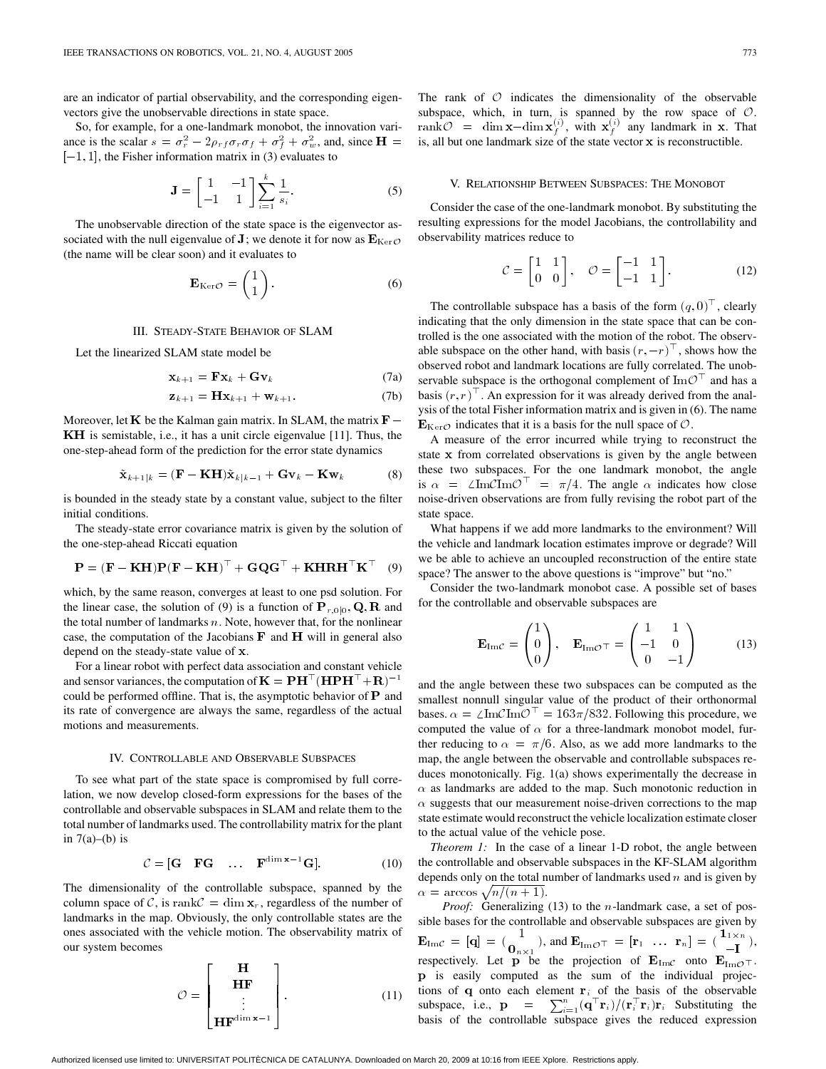are an indicator of partial observability, and the corresponding eigenvectors give the unobservable directions in state space.

So, for example, for a one-landmark monobot, the innovation variance is the scalar  $s = \sigma_r^2 - 2\rho_{rf}\sigma_r\sigma_f + \sigma_f^2 + \sigma_w^2$ , and, since  $\mathbf{H} =$ If observability, and t<br>vable directions in sta<br>one-landmark mono<br> $r_r^2 - 2\rho_{rf} \sigma_r \sigma_f + \sigma_f^2$ vectors give the unobservable directions in state space.<br>So, for example, for a one-landmark monobot, the inrance is the scalar  $s = \sigma_r^2 - 2\rho_{rf}\sigma_r\sigma_f + \sigma_f^2 + \sigma_w^2$ , and  $[-1, 1]$ , the Fisher information matrix in (3) evalua The differential differential or  $\sigma_r^2 - 2\rho_{rf}\sigma_r\sigma_r$ <br>ormation matrix<br> $\mathbf{J} = \begin{bmatrix} 1 & -1 \\ 1 & 1 \end{bmatrix}$  $[-1, 1]$ , the Fisher information matrix in (3) evaluates to

$$
\mathbf{J} = \begin{bmatrix} 1 & -1 \\ -1 & 1 \end{bmatrix} \sum_{i=1}^{k} \frac{1}{s_i}.
$$
 (5)

The unobservable direction of the state space is the eigenvector associated with the null eigenvalue of **J**; we denote it for now as  $\mathbf{E}_{KerO}$ (the name will be clear soon) and it evaluates to

$$
\mathbf{E}_{\text{Ker}\mathcal{O}} = \begin{pmatrix} 1 \\ 1 \end{pmatrix}.
$$
 (6)

## III. STEADY-STATE BEHAVIOR OF SLAM

Let the linearized SLAM state model be

$$
\mathbf{x}_{k+1} = \mathbf{F} \mathbf{x}_k + \mathbf{G} \mathbf{v}_k \tag{7a}
$$

$$
\mathbf{z}_{k+1} = \mathbf{H}\mathbf{x}_{k+1} + \mathbf{w}_{k+1}.
$$
 (7b)

Moreover, let  $K$  be the Kalman gain matrix. In SLAM, the matrix  $F -$ KH is semistable, i.e., it has a unit circle eigenvalue [11]. Thus, the one-step-ahead form of the prediction for the error state dynamics et **K** be the Kalman gain matrix. In SLAM, the matrix  $\mathbf{F}$  –<br>istable, i.e., it has a unit circle eigenvalue [11]. Thus, the<br>ead form of the prediction for the error state dynamics<br> $\tilde{\mathbf{x}}_{k+1|k} = (\mathbf{F} - \mathbf{K} \mathbf{H}) \$ 

$$
\tilde{\mathbf{x}}_{k+1|k} = (\mathbf{F} - \mathbf{KH})\tilde{\mathbf{x}}_{k|k-1} + \mathbf{G}\mathbf{v}_k - \mathbf{K}\mathbf{w}_k \tag{8}
$$

is bounded in the steady state by a constant value, subject to the filter initial conditions.

The steady-state error covariance matrix is given by the solution of the one-step-ahead Riccati equation thal conditions.<br>The steady-state error covariar<br>e one-step-ahead Riccati equati<br> $P = (F - KH)P(F - KH)$ 

$$
\mathbf{P} = (\mathbf{F} - \mathbf{K}\mathbf{H})\mathbf{P}(\mathbf{F} - \mathbf{K}\mathbf{H})^{\top} + \mathbf{G}\mathbf{Q}\mathbf{G}^{\top} + \mathbf{K}\mathbf{H}\mathbf{R}\mathbf{H}^{\top}\mathbf{K}^{\top} \quad (9)
$$

which, by the same reason, converges at least to one psd solution. For the linear case, the solution of (9) is a function of  ${\bf P}_{r,0|0}$ , Q, R and the total number of landmarks  $n$ . Note, however that, for the nonlinear case, the computation of the Jacobians  $\bf{F}$  and  $\bf{H}$  will in general also depend on the steady-state value of x.

For a linear robot with perfect data association and constant vehicle and sensor variances, the computation of  $\mathbf{K} = \mathbf{P} \mathbf{H}^\top (\mathbf{H} \mathbf{P} \mathbf{H}^\top + \mathbf{R})^{-1}$ could be performed offline. That is, the asymptotic behavior of P and its rate of convergence are always the same, regardless of the actual motions and measurements.

#### IV. CONTROLLABLE AND OBSERVABLE SUBSPACES

To see what part of the state space is compromised by full correlation, we now develop closed-form expressions for the bases of the controllable and observable subspaces in SLAM and relate them to the total number of landmarks used. The controllability matrix for the plant in  $7(a)$ –(b) is

$$
\mathcal{C} = [\mathbf{G} \quad \mathbf{F}\mathbf{G} \quad \dots \quad \mathbf{F}^{\dim \mathbf{x} - 1}\mathbf{G}]. \tag{10}
$$

The dimensionality of the controllable subspace, spanned by the column space of C, is rank $C = \dim x_r$ , regardless of the number of landmarks in the map. Obviously, the only controllable states are the ones associated with the vehicle motion. The observability matrix of our system becomes

$$
\mathcal{O} = \begin{bmatrix} \mathbf{H} \\ \mathbf{H}\mathbf{F} \\ \vdots \\ \mathbf{H}\mathbf{F}^{\dim \mathbf{x} - 1} \end{bmatrix} .
$$
 (11)

The rank of  $O$  indicates the dimensionality of the observable subspace, which, in turn, is spanned by the row space of  $O$ . rank $\mathcal{O}$  = dim  $\mathbf{x}$ -dim  $\mathbf{x}_f^{(i)}$ , with  $\mathbf{x}_f^{(i)}$  any landmark in x. That is, all but one landmark size of the state vector x is reconstructible.

## V. RELATIONSHIP BETWEEN SUBSPACES: THE MONOBOT

Consider the case of the one-landmark monobot. By substituting the resulting expressions for the model Jacobians, the controllability and observability matrices reduce to

$$
\mathcal{C} = \begin{bmatrix} 1 & 1 \\ 0 & 0 \end{bmatrix}, \quad \mathcal{O} = \begin{bmatrix} -1 & 1 \\ -1 & 1 \end{bmatrix}.
$$
 (12)

The controllable subspace has a basis of the form  $(q, 0)^{\top}$ , clearly indicating that the only dimension in the state space that can be controlled is the one associated with the motion of the robot. The observable subspace on the other hand, with basis  $(r, -r)^{\top}$ , shows how the observed robot and landmark locations are fully correlated. The unobservable subspace is the orthogonal complement of  $\text{Im}\mathcal{O}^\top$  and has a basis  $(r, r)^\top$ . An expression for it was already derived from the analysis of the total Fisher information matrix and is given in (6). The name  $\mathbf{E}_{\text{Ker}\mathcal{O}}$  indicates that it is a basis for the null space of  $\mathcal{O}$ .

A measure of the error incurred while trying to reconstruct the state x from correlated observations is given by the angle between these two subspaces. For the one landmark monobot, the angle is  $\alpha = \angle \text{Im}\mathcal{C} \text{Im}\mathcal{O}^{\top} = \pi/4$ . The angle  $\alpha$  indicates how close noise-driven observations are from fully revising the robot part of the state space.

What happens if we add more landmarks to the environment? Will the vehicle and landmark location estimates improve or degrade? Will we be able to achieve an uncoupled reconstruction of the entire state space? The answer to the above questions is "improve" but "no."

Consider the two-landmark monobot case. A possible set of bases for the controllable and observable subspaces are

$$
\mathbf{E}_{\mathrm{Im}\mathcal{C}} = \begin{pmatrix} 1 \\ 0 \\ 0 \end{pmatrix}, \quad \mathbf{E}_{\mathrm{Im}\mathcal{O}} = \begin{pmatrix} 1 & 1 \\ -1 & 0 \\ 0 & -1 \end{pmatrix} \tag{13}
$$

and the angle between these two subspaces can be computed as the smallest nonnull singular value of the product of their orthonormal bases.  $\alpha = \angle \text{Im}\mathcal{C}\text{Im}\mathcal{O}^{\top} = 163\pi/832$ . Following this procedure, we computed the value of  $\alpha$  for a three-landmark monobot model, further reducing to  $\alpha = \pi/6$ . Also, as we add more landmarks to the map, the angle between the observable and controllable subspaces reduces monotonically. Fig. 1(a) shows experimentally the decrease in  $\alpha$  as landmarks are added to the map. Such monotonic reduction in  $\alpha$  suggests that our measurement noise-driven corrections to the map state estimate would reconstruct the vehicle localization estimate closer to the actual value of the vehicle pose.

*Theorem 1:* In the case of a linear 1-D robot, the angle between the controllable and observable subspaces in the KF-SLAM algorithm depends only on the total number of landmarks used  $n$  and is given by  $\alpha = \arccos \sqrt{n/(n + 1)}.$ 

*Proof:* Generalizing (13) to the *n*-landmark case, a set of possible bases for the controllable and observable subspaces are given by  $\mathbf{E}_{\text{Im}\mathcal{C}} = [\mathbf{q}] = \begin{pmatrix} 1 \\ \mathbf{0}_{n \times 1} \end{pmatrix}$ , and  $\mathbf{E}_{\text{Im}\mathcal{O}}$   $\top = [\mathbf{r}_1 \quad \dots \quad \mathbf{r}_n] = \begin{pmatrix} \mathbf{1}_{1 \times n} \\ -\mathbf{I} \end{pmatrix}$ , respectively. Let **p** be the projection of  $\mathbf{E}_{\text{Im}\mathcal{C}}$  onto  $\mathbf{E}_{\text{Im}\mathcal{O}}\top$ . p is easily computed as the sum of the individual projections of  $q$  onto each element  $r_i$  of the basis of the observable subspace, i.e.,  $\mathbf{p} = \sum_{i=1}^{n} (\mathbf{q}^{\top} \mathbf{r}_i)/(\mathbf{r}_i^{\top} \mathbf{r}_i) \mathbf{r}_i$  Substituting the basis of the controllable subspace gives the reduced expression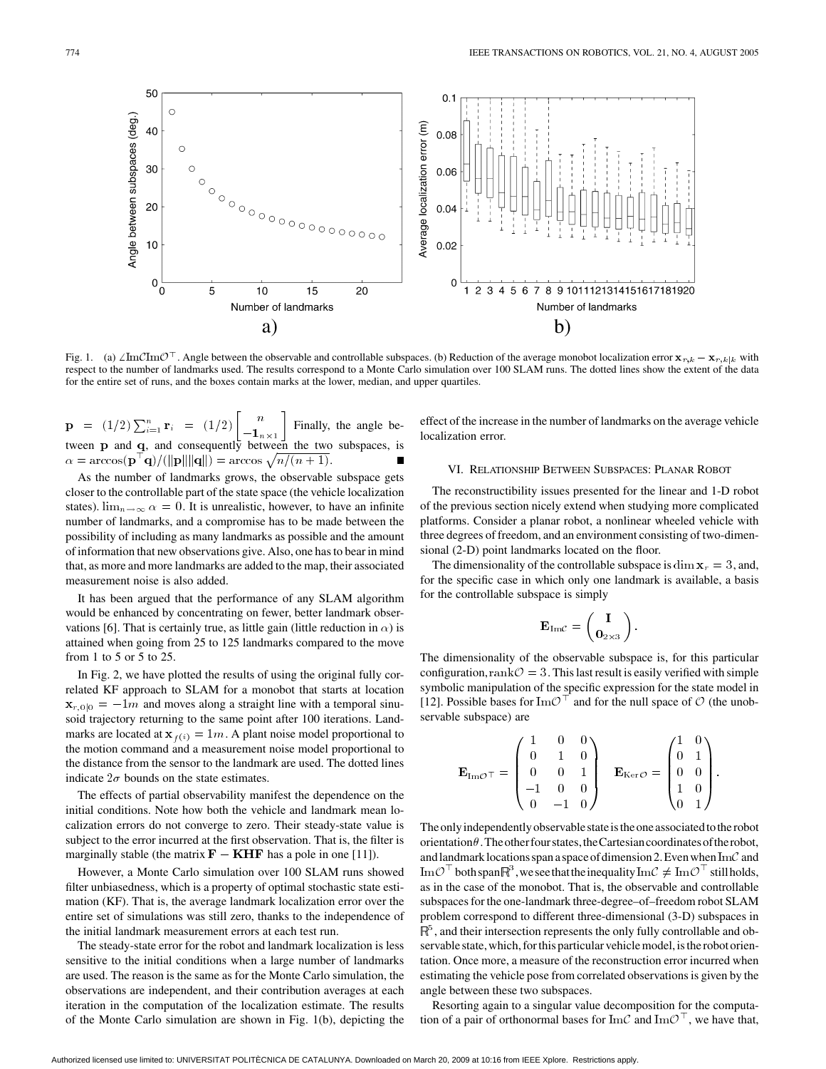Fig. 1. (a)  $\angle \text{Im}\mathcal{C}\text{Im}\mathcal{O}^{\top}$ . Angle between the observable and controllable subspaces. (b) Reduction of the average monobot localization error  $\mathbf{x}_{r,k} - \mathbf{x}_{r,k|k}$  with respect to the number of landmarks used. The results correspond to a Monte Carlo simulation over 100 SLAM runs. The dotted lines show the extent of the data for the entire set of runs, and the boxes contain marks at the lower, median, and upper quartiles.

for the entire set of runs, and the boxes contain marks at the lower, median, an<br>  $\mathbf{p} = (1/2) \sum_{i=1}^{n} \mathbf{r}_i = (1/2) \begin{bmatrix} n \\ -\mathbf{1}_{n \times 1} \end{bmatrix}$  Finally, the angle between p and q, and consequently between the two subspaces, is  $\alpha = \arccos(\mathbf{p}^\top \mathbf{q}) / (\|\mathbf{p}\| \|\mathbf{q}\|) = \arccos \sqrt{n / (n + 1)}.$ 

As the number of landmarks grows, the observable subspace gets closer to the controllable part of the state space (the vehicle localization states).  $\lim_{n\to\infty} \alpha = 0$ . It is unrealistic, however, to have an infinite number of landmarks, and a compromise has to be made between the possibility of including as many landmarks as possible and the amount of information that new observations give. Also, one has to bear in mind that, as more and more landmarks are added to the map, their associated measurement noise is also added.

It has been argued that the performance of any SLAM algorithm would be enhanced by concentrating on fewer, better landmark observations [6]. That is certainly true, as little gain (little reduction in  $\alpha$ ) is attained when going from 25 to 125 landmarks compared to the move from 1 to 5 or 5 to 25.

In Fig. 2, we have plotted the results of using the original fully correlated KF approach to SLAM for a monobot that starts at location  $\mathbf{x}_{r,0|0} = -1m$  and moves along a straight line with a temporal sinusoid trajectory returning to the same point after 100 iterations. Landmarks are located at  $\mathbf{x}_{f(i)} = 1m$ . A plant noise model proportional to the motion command and a measurement noise model proportional to the distance from the sensor to the landmark are used. The dotted lines indicate  $2\sigma$  bounds on the state estimates.

The effects of partial observability manifest the dependence on the initial conditions. Note how both the vehicle and landmark mean localization errors do not converge to zero. Their steady-state value is subject to the error incurred at the first observation. That is, the filter is marginally stable (the matrix  $\mathbf{F} - \mathbf{K} \mathbf{H} \mathbf{F}$  has a pole in one [11]).

However, a Monte Carlo simulation over 100 SLAM runs showed filter unbiasedness, which is a property of optimal stochastic state estimation (KF). That is, the average landmark localization error over the entire set of simulations was still zero, thanks to the independence of the initial landmark measurement errors at each test run.

The steady-state error for the robot and landmark localization is less sensitive to the initial conditions when a large number of landmarks are used. The reason is the same as for the Monte Carlo simulation, the observations are independent, and their contribution averages at each iteration in the computation of the localization estimate. The results of the Monte Carlo simulation are shown in Fig. 1(b), depicting the effect of the increase in the number of landmarks on the average vehicle localization error.

# VI. RELATIONSHIP BETWEEN SUBSPACES: PLANAR ROBOT

The reconstructibility issues presented for the linear and 1-D robot of the previous section nicely extend when studying more complicated platforms. Consider a planar robot, a nonlinear wheeled vehicle with three degrees of freedom, and an environment consisting of two-dimensional (2-D) point landmarks located on the floor.

The dimensionality of the controllable subspace is dim  $x_r = 3$ , and, for the specific case in which only one landmark is available, a basis for the controllable subspace is simply

$$
\mathbf{E}_{\mathrm{Im}\mathcal{C}}=\left(\begin{array}{c}\mathbf{I}\\ \mathbf{0}_{2\times3}\end{array}\right).
$$

The dimensionality of the observable subspace is, for this particular configuration, rank $\mathcal{O} = 3$ . This last result is easily verified with simple symbolic manipulation of the specific expression for the state model in [12]. Possible bases for  $\text{Im}\mathcal{O}^{\top}$  and for the null space of  $\mathcal{O}$  (the unobservable subspace) are

$$
\mathbf{E}_{\mathrm{Im}\mathcal{O}}\top = \begin{pmatrix} 1 & 0 & 0 \\ 0 & 1 & 0 \\ 0 & 0 & 1 \\ -1 & 0 & 0 \\ 0 & -1 & 0 \end{pmatrix} \quad \mathbf{E}_{\mathrm{Ker}\mathcal{O}} = \begin{pmatrix} 1 & 0 \\ 0 & 1 \\ 0 & 0 \\ 1 & 0 \\ 0 & 1 \end{pmatrix}.
$$

The only independently observable state is the one associated to the robot orientation  $\theta$ . The other four states, the Cartesian coordinates of the robot, and landmark locations span a space of dimension 2. Even when  $\text{Im}\mathcal{C}$  and Im $\mathcal{O}^+$  both span  $\mathbb{R}^3$ , we see that the inequality Im $\mathcal{C} \neq \text{Im}\mathcal{O}^+$  still holds, as in the case of the monobot. That is, the observable and controllable subspaces for the one-landmark three-degree–of–freedom robot SLAM problem correspond to different three-dimensional (3-D) subspaces in  $\mathbb{R}^5$ , and their intersection represents the only fully controllable and observable state, which, for this particular vehicle model, is the robot orientation. Once more, a measure of the reconstruction error incurred when estimating the vehicle pose from correlated observations is given by the angle between these two subspaces.

Resorting again to a singular value decomposition for the computation of a pair of orthonormal bases for  $\text{Im}\mathcal{C}$  and  $\text{Im}\mathcal{O}^{\top}$ , we have that,

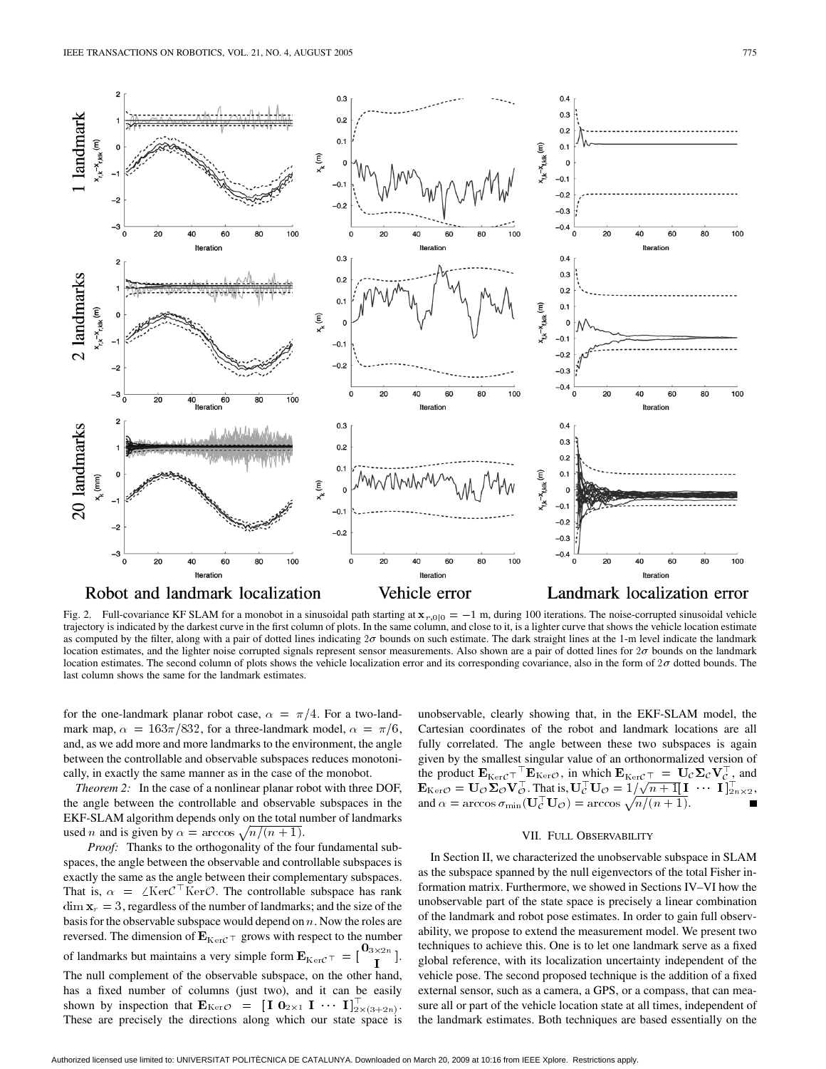

Fig. 2. Full-covariance KF SLAM for a monobot in a sinusoidal path starting at  $\mathbf{x}_{r,0|0} = -1$  m, during 100 iterations. The noise-corrupted sinusoidal vehicle trajectory is indicated by the darkest curve in the first column of plots. In the same column, and close to it, is a lighter curve that shows the vehicle location estimate as computed by the filter, along with a pair of dotted lines indicating  $2\sigma$  bounds on such estimate. The dark straight lines at the 1-m level indicate the landmark location estimates, and the lighter noise corrupted signals represent sensor measurements. Also shown are a pair of dotted lines for  $2\sigma$  bounds on the landmark location estimates. The second column of plots shows the vehicle localization error and its corresponding covariance, also in the form of  $2\sigma$  dotted bounds. The last column shows the same for the landmark estimates

for the one-landmark planar robot case,  $\alpha = \pi/4$ . For a two-landmark map,  $\alpha = 163\pi/832$ , for a three-landmark model,  $\alpha = \pi/6$ , and, as we add more and more landmarks to the environment, the angle between the controllable and observable subspaces reduces monotonically, in exactly the same manner as in the case of the monobot.

*Theorem 2:* In the case of a nonlinear planar robot with three DOF, the angle between the controllable and observable subspaces in the EKF-SLAM algorithm depends only on the total number of landmarks used *n* and is given by  $\alpha = \arccos \sqrt{n/(n + 1)}$ .

*Proof:* Thanks to the orthogonality of the four fundamental subspaces, the angle between the observable and controllable subspaces is exactly the same as the angle between their complementary subspaces. That is,  $\alpha = \angle \text{Ker} \mathcal{C}^\top \text{Ker} \mathcal{O}$ . The controllable subspace has rank  $\dim x_r = 3$ , regardless of the number of landmarks; and the size of the basis for the observable subspace would depend on  $n$ . Now the roles are reversed. The dimension of  $E_{KerC}$  grows with respect to the number of landmarks but maintains a very simple form  $\mathbf{E}_{\text{KerC}} \tau = \begin{bmatrix} \mathbf{0}_{3 \times 2n} \\ \mathbf{I} \end{bmatrix}$ . The null complement of the observable subspace, on the other hand, has a fixed number of columns (just two), and it can be easily shown by inspection that  $\mathbf{E}_{\text{Ker}\mathcal{O}} = [\mathbf{I} \ \mathbf{0}_{2\times 1} \ \mathbf{I} \ \cdots \ \mathbf{I}]_{2\times (3+2n)}^{\top}$ . These are precisely the directions along which our state space is

unobservable, clearly showing that, in the EKF-SLAM model, the Cartesian coordinates of the robot and landmark locations are all fully correlated. The angle between these two subspaces is again given by the smallest singular value of an orthonormalized version of the product  $\mathbf{E}_{KerC}$ <sup>T</sup>  $\mathbf{E}_{KerC}$ , in which  $\mathbf{E}_{KerC}$ <sup>T</sup> =  $\mathbf{U}_{c}\mathbf{\Sigma}_{c}\mathbf{V}_{c}^{\top}$ , and  $\mathbf{E}_{\text{Ker}\mathcal{O}} = \mathbf{U}_{\mathcal{O}} \mathbf{\Sigma}_{\mathcal{O}} \mathbf{V}_{\mathcal{O}}^{\top}$ . That is,  $\mathbf{U}_{\mathcal{C}}^{\top} \mathbf{U}_{\mathcal{O}} = 1/\sqrt{n+1} [\mathbf{I} \cdots \mathbf{I}]_{2n \times 2}^{\top}$ and  $\alpha = \arccos \sigma_{\min}(\mathbf{U}_{\mathcal{C}}^{\top} \mathbf{U}_{\mathcal{O}}) = \arccos \sqrt{n/(n+1)}$ .

### VII. FULL OBSERVABILITY

In Section II, we characterized the unobservable subspace in SLAM as the subspace spanned by the null eigenvectors of the total Fisher information matrix. Furthermore, we showed in Sections IV–VI how the unobservable part of the state space is precisely a linear combination of the landmark and robot pose estimates. In order to gain full observability, we propose to extend the measurement model. We present two techniques to achieve this. One is to let one landmark serve as a fixed global reference, with its localization uncertainty independent of the vehicle pose. The second proposed technique is the addition of a fixed external sensor, such as a camera, a GPS, or a compass, that can measure all or part of the vehicle location state at all times, independent of the landmark estimates. Both techniques are based essentially on the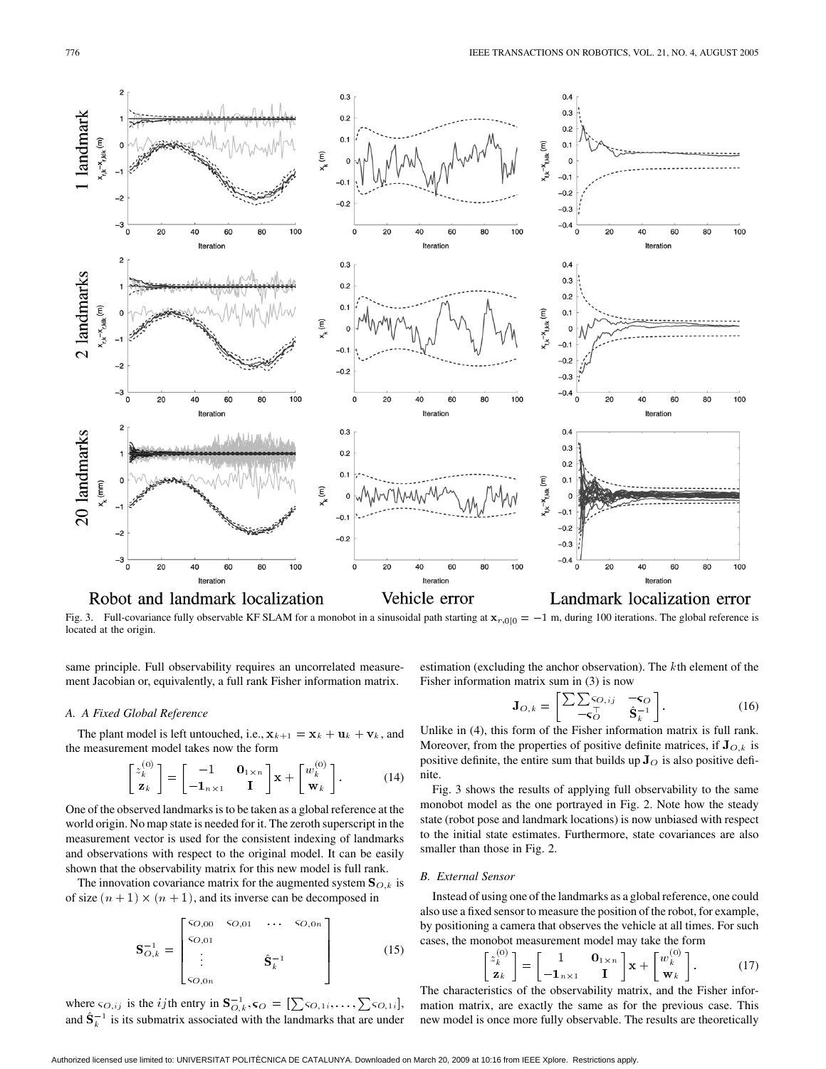

located at the origin.

same principle. Full observability requires an uncorrelated measurement Jacobian or, equivalently, a full rank Fisher information matrix.

# *A. A Fixed Global Reference*

The plant model is left untouched, i.e.,  $\mathbf{x}_{k+1} = \mathbf{x}_k + \mathbf{u}_k + \mathbf{v}_k$ , and the measurement model takes now the form Left untouched, i.e<br>del takes now the 1<br>=  $\begin{bmatrix} -1 & 0_{1 \times} \\ 1 & 0_{1 \times} \end{bmatrix}$ 

model is left untouched, i.e., 
$$
\mathbf{x}_{k+1} = \mathbf{x}_k + \mathbf{u}_k + \mathbf{v}_k
$$
, and  
ment model takes now the form  

$$
\begin{bmatrix} z_k^{(0)} \\ \mathbf{z}_k \end{bmatrix} = \begin{bmatrix} -1 & \mathbf{0}_{1 \times n} \\ -\mathbf{1}_{n \times 1} & \mathbf{I} \end{bmatrix} \mathbf{x} + \begin{bmatrix} w_k^{(0)} \\ \mathbf{w}_k \end{bmatrix}.
$$
 (14)

One of the observed landmarks is to be taken as a global reference at the world origin. No map state is needed for it. The zeroth superscript in the measurement vector is used for the consistent indexing of landmarks and observations with respect to the original model. It can be easily shown that the observability matrix for this new model is full rank.

The innovation covariance matrix for the augmented system  $\mathbf{S}_{O,k}$  is of size  $(n + 1) \times (n + 1)$ , and its inverse can be decomposed in

$$
\mathbf{S}_{O,k}^{-1} = \begin{bmatrix} S_{O,00} & S_{O,01} & \cdots & S_{O,0n} \\ S_{O,01} & & \\ \vdots & & \hat{\mathbf{S}}_{k}^{-1} \\ S_{O,0n} & & \end{bmatrix} \tag{15}
$$
\nwhere  $S_{O,ij}$  is the *ij*th entry in  $\mathbf{S}_{O,k}^{-1}$ ,  $S_{O} = [\sum S_{O,1i}, \ldots, \sum S_{O,1i}],$ 

where  $\varsigma_0$ <br>and  $\hat{\mathbf{S}}_k^{-1}$ and  $\hat{S}_k^{-1}$  is its submatrix associated with the landmarks that are under

estimation (excluding the anchor observation). The  $k$ th element of the Fisher information matrix sum in (3) is now

$$
\mathbf{J}_{O,k} = \begin{bmatrix} \sum \sum_{\mathbf{G}} S_{O,ij} & -\mathbf{G}_{O} \\ -\mathbf{G}_{O}^{\top} & \hat{\mathbf{S}}_{k}^{-1} \end{bmatrix} . \tag{16}
$$

Unlike in (4), this form of the Fisher information matrix is full rank. Moreover, from the properties of positive definite matrices, if  $\mathbf{J}_{O,k}$  is positive definite, the entire sum that builds up  $J<sub>O</sub>$  is also positive definite.

Fig. 3 shows the results of applying full observability to the same monobot model as the one portrayed in Fig. 2. Note how the steady state (robot pose and landmark locations) is now unbiased with respect to the initial state estimates. Furthermore, state covariances are also smaller than those in Fig. 2.

## *B. External Sensor*

Instead of using one of the landmarks as a global reference, one could also use a fixed sensor to measure the position of the robot, for example, by positioning a camera that observes the vehicle at all times. For such cases, the monobot measurement model may take the form

$$
\begin{bmatrix} z_k^{(0)} \\ z_k \end{bmatrix} = \begin{bmatrix} 1 & \mathbf{0}_{1 \times n} \\ -\mathbf{1}_{n \times 1} & \mathbf{I} \end{bmatrix} \mathbf{x} + \begin{bmatrix} w_k^{(0)} \\ \mathbf{w}_k \end{bmatrix} . \tag{17}
$$

The characteristics of the observability matrix, and the Fisher information matrix, are exactly the same as for the previous case. This new model is once more fully observable. The results are theoretically